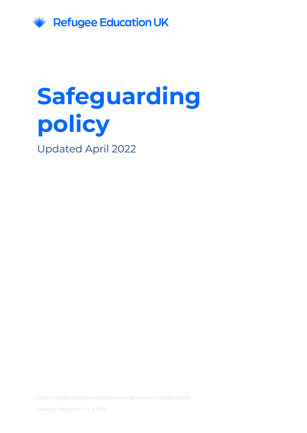

# **Safeguarding policy**

Updated April 2022

Legal\_Policies\_Safeguarding (approved by trustees October 2020).

Refugee Education UK © 2019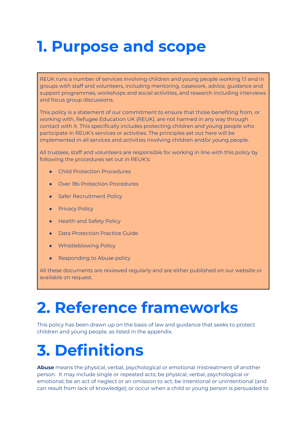### **1. Purpose and scope**

REUK runs a number of services involving children and young people working 1:1 and in groups with staff and volunteers, including mentoring, casework, advice, guidance and support programmes, workshops and social activities, and research including interviews and focus group discussions.

This policy is a statement of our commitment to ensure that those benefiting from, or working with, Refugee Education UK (REUK), are not harmed in any way through contact with it. This specifically includes protecting children and young people who participate in REUK's services or activities. The principles set out here will be implemented in all services and activities involving children and/or young people.

All trustees, staff and volunteers are responsible for working in line with this policy by following the procedures set out in REUK's:

- Child Protection Procedures
- Over 18s Protection Procedures
- Safer Recruitment Policy
- **•** Privacy Policy
- **Health and Safety Policy**
- **Data Protection Practice Guide**
- **•** Whistleblowing Policy
- Responding to Abuse policy

All these documents are reviewed regularly and are either published on our website or available on request.

### **2. Reference frameworks**

This policy has been drawn up on the basis of law and guidance that seeks to protect children and young people, as listed in the appendix.

# **3. Definitions**

**Abuse** means the physical, verbal, psychological or emotional mistreatment of another person. It may include single or repeated acts; be physical, verbal, psychological or emotional; be an act of neglect or an omission to act; be intentional or unintentional (and can result from lack of knowledge); or occur when a child or young person is persuaded to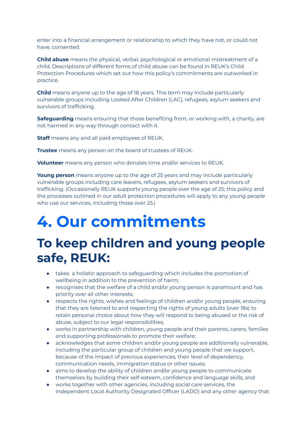enter into a financial arrangement or relationship to which they have not, or could not have, consented.

**Child abuse** means the physical, verbal, psychological or emotional mistreatment of a child. Descriptions of different forms of child abuse can be found in REUK's Child Protection Procedures which set out how this policy's commitments are outworked in practice.

**Child** means anyone up to the age of 18 years. This term may include particularly vulnerable groups including Looked After Children (LAC), refugees, asylum seekers and survivors of trafficking.

**Safeguarding** means ensuring that those benefiting from, or working with, a charity, are not harmed in any way through contact with it.

**Staff** means any and all paid employees of REUK.

**Trustee** means any person on the board of trustees of REUK.

**Volunteer** means any person who donates time and/or services to REUK.

**Young person** means anyone up to the age of 25 years and may include particularly vulnerable groups including care leavers, refugees, asylum seekers and survivors of trafficking. (Occasionally REUK supports young people over the age of 25; this policy and the processes outlined in our adult protection procedures will apply to any young people who use our services, including those over 25.)

#### **4. Our commitments**

#### **To keep children and young people safe, REUK:**

- takes a holistic approach to safeguarding which includes the promotion of wellbeing in addition to the prevention of harm;
- recognises that the welfare of a child and/or young person is paramount and has priority over all other interests;
- respects the rights, wishes and feelings of children and/or young people, ensuring that they are listened to and respecting the rights of young adults (over 18s) to retain personal choice about how they will respond to being abused or the risk of abuse, subject to our legal responsibilities;
- works in partnership with children, young people and their parents, carers, families and supporting professionals to promote their welfare;
- acknowledges that some children and/or young people are additionally vulnerable, including the particular group of children and young people that we support, because of the impact of previous experiences, their level of dependency, communication needs, immigration status or other issues;
- aims to develop the ability of children and/or young people to communicate themselves by building their self-esteem, confidence and language skills; and
- works together with other agencies, including social care services, the independent Local Authority Designated Officer (LADO) and any other agency that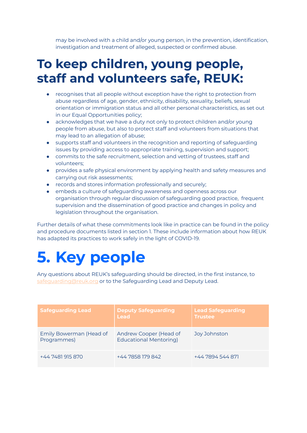may be involved with a child and/or young person, in the prevention, identification, investigation and treatment of alleged, suspected or confirmed abuse.

#### **To keep children, young people, staff and volunteers safe, REUK:**

- recognises that all people without exception have the right to protection from abuse regardless of age, gender, ethnicity, disability, sexuality, beliefs, sexual orientation or immigration status and all other personal characteristics, as set out in our Equal Opportunities policy;
- acknowledges that we have a duty not only to protect children and/or young people from abuse, but also to protect staff and volunteers from situations that may lead to an allegation of abuse;
- supports staff and volunteers in the recognition and reporting of safeguarding issues by providing access to appropriate training, supervision and support;
- commits to the safe recruitment, selection and vetting of trustees, staff and volunteers;
- provides a safe physical environment by applying health and safety measures and carrying out risk assessments;
- records and stores information professionally and securely;
- embeds a culture of safeguarding awareness and openness across our organisation through regular discussion of safeguarding good practice, frequent supervision and the dissemination of good practice and changes in policy and legislation throughout the organisation.

Further details of what these commitments look like in practice can be found in the policy and procedure documents listed in section 1. These include information about how REUK has adapted its practices to work safely in the light of COVID-19.

#### **5. Key people**

Any questions about REUK's safeguarding should be directed, in the first instance, to [safeguarding@reuk.org](mailto:safeguarding@refugeesupportnetwork.org) or to the Safeguarding Lead and Deputy Lead.

| <b>Safeguarding Lead</b>               | <b>Deputy Safeguarding</b><br>Lead                      | <b>Lead Safeguarding</b><br><b>Trustee</b> |
|----------------------------------------|---------------------------------------------------------|--------------------------------------------|
| Emily Bowerman (Head of<br>Programmes) | Andrew Cooper (Head of<br><b>Educational Mentoring)</b> | Joy Johnston                               |
| +44 7481 915 870                       | +44 7858 179 842                                        | +44 7894 544 871                           |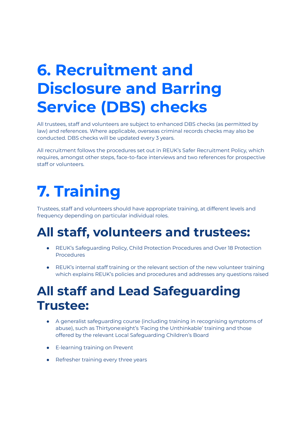### **6. Recruitment and Disclosure and Barring Service (DBS) checks**

All trustees, staff and volunteers are subject to enhanced DBS checks (as permitted by law) and references. Where applicable, overseas criminal records checks may also be conducted. DBS checks will be updated every 3 years.

All recruitment follows the procedures set out in REUK's Safer Recruitment Policy, which requires, amongst other steps, face-to-face interviews and two references for prospective staff or volunteers.

# **7. Training**

Trustees, staff and volunteers should have appropriate training, at different levels and frequency depending on particular individual roles.

#### **All staff, volunteers and trustees:**

- REUK's Safeguarding Policy, Child Protection Procedures and Over 18 Protection Procedures
- REUK's internal staff training or the relevant section of the new volunteer training which explains REUK's policies and procedures and addresses any questions raised

#### **All staff and Lead Safeguarding Trustee:**

- A generalist safeguarding course (including training in recognising symptoms of abuse), such as Thirtyone:eight's 'Facing the Unthinkable' training and those offered by the relevant Local Safeguarding Children's Board
- E-learning training on Prevent
- Refresher training every three years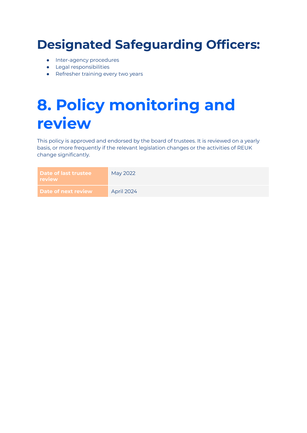#### **Designated Safeguarding Officers:**

- Inter-agency procedures
- Legal responsibilities
- Refresher training every two years

## **8. Policy monitoring and review**

This policy is approved and endorsed by the board of trustees. It is reviewed on a yearly basis, or more frequently if the relevant legislation changes or the activities of REUK change significantly.

| <b>Date of last trustee</b><br>review | May 2022   |
|---------------------------------------|------------|
| Date of next review                   | April 2024 |